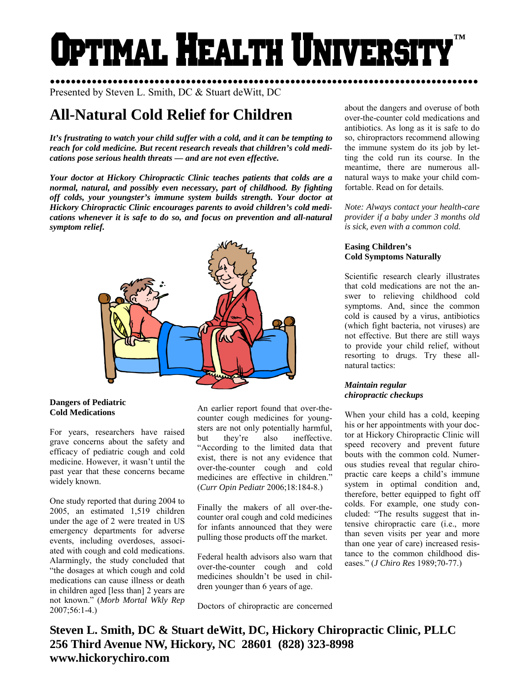# Optimal Health Universi **™**

●●●●●●●●●●●●●●●●●●●●●●●●●●●●●●●●●●●●●●●●●●●●●●●●●●●●●●●●●●●●●●●●●●●●●●●●●●●●●●●●●● Presented by Steven L. Smith, DC & Stuart deWitt, DC

# **All-Natural Cold Relief for Children**

*It's frustrating to watch your child suffer with a cold, and it can be tempting to reach for cold medicine. But recent research reveals that children's cold medications pose serious health threats — and are not even effective.* 

*Your doctor at Hickory Chiropractic Clinic teaches patients that colds are a normal, natural, and possibly even necessary, part of childhood. By fighting off colds, your youngster's immune system builds strength. Your doctor at Hickory Chiropractic Clinic encourages parents to avoid children's cold medications whenever it is safe to do so, and focus on prevention and all-natural symptom relief.* 



# **Dangers of Pediatric Cold Medications**

For years, researchers have raised grave concerns about the safety and efficacy of pediatric cough and cold medicine. However, it wasn't until the past year that these concerns became widely known.

One study reported that during 2004 to 2005, an estimated 1,519 children under the age of 2 were treated in US emergency departments for adverse events, including overdoses, associated with cough and cold medications. Alarmingly, the study concluded that "the dosages at which cough and cold medications can cause illness or death in children aged [less than] 2 years are not known." (*Morb Mortal Wkly Rep*  2007;56:1-4.)

An earlier report found that over-thecounter cough medicines for youngsters are not only potentially harmful, but they're also ineffective. "According to the limited data that exist, there is not any evidence that over-the-counter cough and cold medicines are effective in children." (*Curr Opin Pediatr* 2006;18:184-8.)

Finally the makers of all over-thecounter oral cough and cold medicines for infants announced that they were pulling those products off the market.

Federal health advisors also warn that over-the-counter cough and cold medicines shouldn't be used in children younger than 6 years of age.

Doctors of chiropractic are concerned

about the dangers and overuse of both over-the-counter cold medications and antibiotics. As long as it is safe to do so, chiropractors recommend allowing the immune system do its job by letting the cold run its course. In the meantime, there are numerous allnatural ways to make your child comfortable. Read on for details.

*Note: Always contact your health-care provider if a baby under 3 months old is sick, even with a common cold.* 

# **Easing Children's Cold Symptoms Naturally**

Scientific research clearly illustrates that cold medications are not the answer to relieving childhood cold symptoms. And, since the common cold is caused by a virus, antibiotics (which fight bacteria, not viruses) are not effective. But there are still ways to provide your child relief, without resorting to drugs. Try these allnatural tactics:

# *Maintain regular chiropractic checkups*

When your child has a cold, keeping his or her appointments with your doctor at Hickory Chiropractic Clinic will speed recovery and prevent future bouts with the common cold. Numerous studies reveal that regular chiropractic care keeps a child's immune system in optimal condition and, therefore, better equipped to fight off colds. For example, one study concluded: "The results suggest that intensive chiropractic care (i.e., more than seven visits per year and more than one year of care) increased resistance to the common childhood diseases." (*J Chiro Res* 1989;70-77.)

**Steven L. Smith, DC & Stuart deWitt, DC, Hickory Chiropractic Clinic, PLLC 256 Third Avenue NW, Hickory, NC 28601 (828) 323-8998 www.hickorychiro.com**